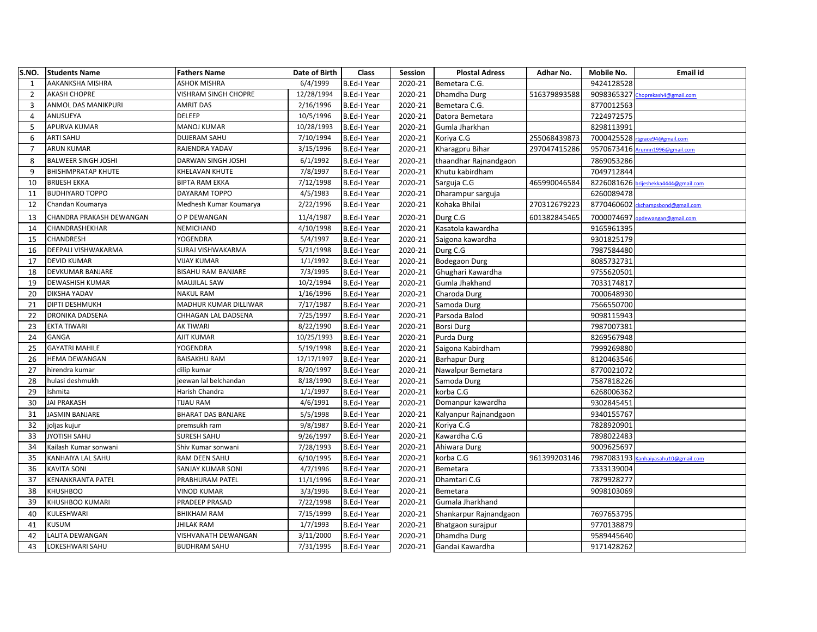| S.NO.          | <b>Students Name</b>       | <b>Fathers Name</b>       | Date of Birth | Class              | Session | <b>Plostal Adress</b>  | Adhar No.    | Mobile No. | <b>Email id</b>                     |
|----------------|----------------------------|---------------------------|---------------|--------------------|---------|------------------------|--------------|------------|-------------------------------------|
| 1              | AAKANKSHA MISHRA           | <b>ASHOK MISHRA</b>       | 6/4/1999      | <b>B.Ed-I Year</b> | 2020-21 | Bemetara C.G.          |              | 9424128528 |                                     |
| $\overline{2}$ | AKASH CHOPRE               | VISHRAM SINGH CHOPRE      | 12/28/1994    | <b>B.Ed-I Year</b> | 2020-21 | Dhamdha Durg           | 516379893588 | 9098365327 | Choprekash4@gmail.com               |
| 3              | ANMOL DAS MANIKPURI        | <b>AMRIT DAS</b>          | 2/16/1996     | <b>B.Ed-I Year</b> | 2020-21 | Bemetara C.G.          |              | 8770012563 |                                     |
| $\overline{4}$ | ANUSUEYA                   | DELEEP                    | 10/5/1996     | <b>B.Ed-I Year</b> | 2020-21 | Datora Bemetara        |              | 7224972575 |                                     |
| 5              | APURVA KUMAR               | MANOJ KUMAR               | 10/28/1993    | <b>B.Ed-I Year</b> | 2020-21 | Gumla Jharkhan         |              | 8298113991 |                                     |
| 6              | ARTI SAHU                  | DUJERAM SAHU              | 7/10/1994     | <b>B.Ed-I Year</b> | 2020-21 | Koriya C.G             | 255068439873 | 7000425528 | rtgrace94@gmail.com                 |
| $\overline{7}$ | <b>ARUN KUMAR</b>          | RAJENDRA YADAV            | 3/15/1996     | <b>B.Ed-I Year</b> | 2020-21 | Kharagpru Bihar        | 297047415286 |            | 9570673416 Arunnn1996@gmail.com     |
| 8              | <b>BALWEER SINGH JOSHI</b> | DARWAN SINGH JOSHI        | 6/1/1992      | <b>B.Ed-I Year</b> | 2020-21 | thaandhar Rajnandgaon  |              | 7869053286 |                                     |
| 9              | <b>BHISHMPRATAP KHUTE</b>  | KHELAVAN KHUTE            | 7/8/1997      | <b>B.Ed-I Year</b> | 2020-21 | Khutu kabirdham        |              | 7049712844 |                                     |
| 10             | <b>BRIJESH EKKA</b>        | <b>BIPTA RAM EKKA</b>     | 7/12/1998     | <b>B.Ed-I Year</b> | 2020-21 | Sarguja C.G            | 465990046584 | 8226081626 | vrijeshekka4444@gmail.com           |
| 11             | <b>BUDHIYARO TOPPO</b>     | DAYARAM TOPPO             | 4/5/1983      | <b>B.Ed-I Year</b> | 2020-21 | Dharampur sarguja      |              | 6260089478 |                                     |
| 12             | Chandan Koumarya           | Medhesh Kumar Koumarya    | 2/22/1996     | B.Ed-I Year        | 2020-21 | Kohaka Bhilai          | 270312679223 | 8770460602 | ckchampsbond@gmail.com              |
| 13             | CHANDRA PRAKASH DEWANGAN   | O P DEWANGAN              | 11/4/1987     | <b>B.Ed-I Year</b> | 2020-21 | Durg C.G               | 601382845465 | 7000074697 | opdewangan@gmail.com                |
| 14             | CHANDRASHEKHAR             | NEMICHAND                 | 4/10/1998     | <b>B.Ed-I Year</b> | 2020-21 | Kasatola kawardha      |              | 9165961395 |                                     |
| 15             | CHANDRESH                  | <b>YOGENDRA</b>           | 5/4/1997      | <b>B.Ed-I Year</b> | 2020-21 | Saigona kawardha       |              | 9301825179 |                                     |
| 16             | DEEPALI VISHWAKARMA        | SURAJ VISHWAKARMA         | 5/21/1998     | <b>B.Ed-I Year</b> | 2020-21 | Durg C.G               |              | 7987584480 |                                     |
| 17             | <b>DEVID KUMAR</b>         | <b>VIJAY KUMAR</b>        | 1/1/1992      | <b>B.Ed-I Year</b> | 2020-21 | <b>Bodegaon Durg</b>   |              | 8085732731 |                                     |
| 18             | DEVKUMAR BANJARE           | <b>BISAHU RAM BANJARE</b> | 7/3/1995      | <b>B.Ed-I Year</b> | 2020-21 | Ghughari Kawardha      |              | 9755620501 |                                     |
| 19             | DEWASHISH KUMAR            | MAUJILAL SAW              | 10/2/1994     | <b>B.Ed-I Year</b> | 2020-21 | Gumla Jhakhand         |              | 7033174817 |                                     |
| 20             | DIKSHA YADAV               | <b>NAKUL RAM</b>          | 1/16/1996     | <b>B.Ed-I Year</b> | 2020-21 | Charoda Durg           |              | 7000648930 |                                     |
| 21             | DIPTI DESHMUKH             | MADHUR KUMAR DILLIWAR     | 7/17/1987     | <b>B.Ed-I Year</b> | 2020-21 | Samoda Durg            |              | 7566550700 |                                     |
| 22             | DRONIKA DADSENA            | CHHAGAN LAL DADSENA       | 7/25/1997     | <b>B.Ed-I Year</b> | 2020-21 | Parsoda Balod          |              | 9098115943 |                                     |
| 23             | <b>EKTA TIWARI</b>         | AK TIWARI                 | 8/22/1990     | <b>B.Ed-I Year</b> | 2020-21 | <b>Borsi Durg</b>      |              | 7987007381 |                                     |
| 24             | GANGA                      | AJIT KUMAR                | 10/25/1993    | <b>B.Ed-I Year</b> | 2020-21 | Purda Durg             |              | 8269567948 |                                     |
| 25             | <b>GAYATRI MAHILE</b>      | YOGENDRA                  | 5/19/1998     | <b>B.Ed-I Year</b> | 2020-21 | Saigona Kabirdham      |              | 7999269880 |                                     |
| 26             | <b>HEMA DEWANGAN</b>       | <b>BAISAKHU RAM</b>       | 12/17/1997    | <b>B.Ed-I Year</b> | 2020-21 | <b>Barhapur Durg</b>   |              | 8120463546 |                                     |
| 27             | hirendra kumar             | dilip kumar               | 8/20/1997     | <b>B.Ed-I Year</b> | 2020-21 | Nawalpur Bemetara      |              | 8770021072 |                                     |
| 28             | hulasi deshmukh            | jeewan lal belchandan     | 8/18/1990     | B.Ed-I Year        | 2020-21 | Samoda Durg            |              | 7587818226 |                                     |
| 29             | Ishmita                    | Harish Chandra            | 1/1/1997      | <b>B.Ed-I Year</b> | 2020-21 | korba C.G              |              | 6268006362 |                                     |
| 30             | JAI PRAKASH                | TIJAU RAM                 | 4/6/1991      | <b>B.Ed-I Year</b> | 2020-21 | Domanpur kawardha      |              | 9302845451 |                                     |
| 31             | <b>JASMIN BANJARE</b>      | <b>BHARAT DAS BANJARE</b> | 5/5/1998      | <b>B.Ed-I Year</b> | 2020-21 | Kalyanpur Rajnandgaon  |              | 9340155767 |                                     |
| 32             | joljas kujur               | premsukh ram              | 9/8/1987      | <b>B.Ed-I Year</b> | 2020-21 | Koriya C.G             |              | 7828920901 |                                     |
| 33             | JYOTISH SAHU               | <b>SURESH SAHU</b>        | 9/26/1997     | <b>B.Ed-I Year</b> | 2020-21 | Kawardha C.G           |              | 7898022483 |                                     |
| 34             | Kailash Kumar sonwani      | Shiv Kumar sonwani        | 7/28/1993     | <b>B.Ed-I Year</b> | 2020-21 | Ahiwara Durg           |              | 9009625697 |                                     |
| 35             | KANHAIYA LAL SAHU          | RAM DEEN SAHU             | 6/10/1995     | <b>B.Ed-I Year</b> | 2020-21 | korba C.G              | 961399203146 |            | 7987083193 Kanhaiyasahu10@gmail.com |
| 36             | KAVITA SONI                | SANJAY KUMAR SONI         | 4/7/1996      | <b>B.Ed-I Year</b> | 2020-21 | Bemetara               |              | 7333139004 |                                     |
| 37             | KENANKRANTA PATEL          | PRABHURAM PATEL           | 11/1/1996     | <b>B.Ed-I Year</b> | 2020-21 | Dhamtari C.G           |              | 7879928277 |                                     |
| 38             | <b>KHUSHBOO</b>            | <b>VINOD KUMAR</b>        | 3/3/1996      | <b>B.Ed-I Year</b> | 2020-21 | Bemetara               |              | 9098103069 |                                     |
| 39             | KHUSHBOO KUMARI            | PRADEEP PRASAD            | 7/22/1998     | <b>B.Ed-I Year</b> | 2020-21 | Gumala Jharkhand       |              |            |                                     |
| 40             | KULESHWARI                 | <b>BHIKHAM RAM</b>        | 7/15/1999     | B.Ed-I Year        | 2020-21 | Shankarpur Rajnandgaon |              | 7697653795 |                                     |
| 41             | <b>KUSUM</b>               | <b>JHILAK RAM</b>         | 1/7/1993      | <b>B.Ed-I Year</b> | 2020-21 | Bhatgaon surajpur      |              | 9770138879 |                                     |
| 42             | LALITA DEWANGAN            | VISHVANATH DEWANGAN       | 3/11/2000     | <b>B.Ed-I Year</b> | 2020-21 | Dhamdha Durg           |              | 9589445640 |                                     |
| 43             | LOKESHWARI SAHU            | <b>BUDHRAM SAHU</b>       | 7/31/1995     | <b>B.Ed-I Year</b> | 2020-21 | Gandai Kawardha        |              | 9171428262 |                                     |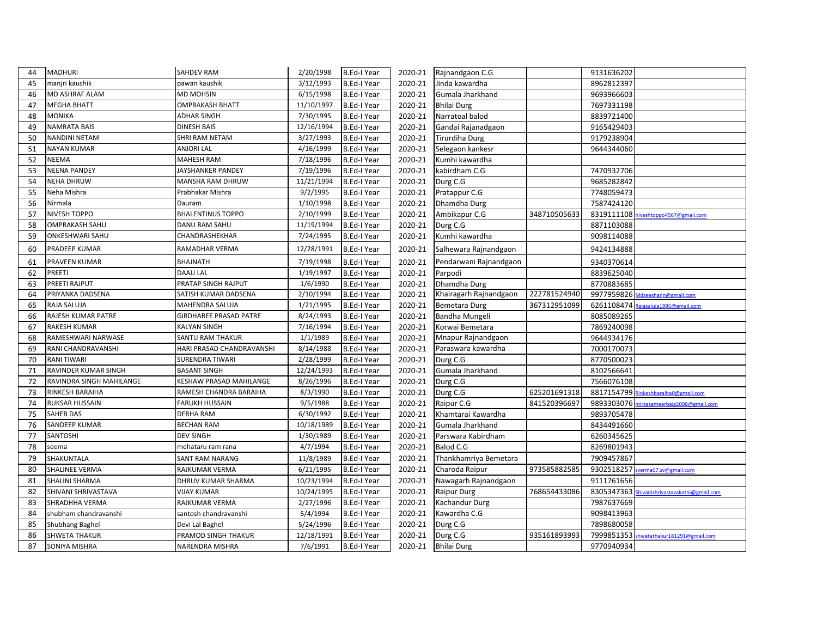| 44 | <b>MADHURI</b>           | <b>SAHDEV RAM</b>             | 2/20/1998  | <b>B.Ed-I Year</b> | 2020-21 | Rajnandgaon C.G        |              | 9131636202 |                                              |
|----|--------------------------|-------------------------------|------------|--------------------|---------|------------------------|--------------|------------|----------------------------------------------|
| 45 | manjri kaushik           | pawan kaushik                 | 3/12/1993  | <b>B.Ed-I Year</b> | 2020-21 | Jinda kawardha         |              | 8962812397 |                                              |
| 46 | MD ASHRAF ALAM           | MD MOHSIN                     | 6/15/1998  | <b>B.Ed-I Year</b> | 2020-21 | Gumala Jharkhand       |              | 9693966603 |                                              |
| 47 | <b>MEGHA BHATT</b>       | <b>OMPRAKASH BHATT</b>        | 11/10/1997 | <b>B.Ed-I Year</b> | 2020-21 | <b>Bhilai Durg</b>     |              | 7697331198 |                                              |
| 48 | <b>MONIKA</b>            | <b>ADHAR SINGH</b>            | 7/30/1995  | B.Ed-I Year        | 2020-21 | Narratoal balod        |              | 8839721400 |                                              |
| 49 | <b>NAMRATA BAIS</b>      | <b>DINESH BAIS</b>            | 12/16/1994 | <b>B.Ed-I Year</b> | 2020-21 | Gandai Rajanadgaon     |              | 9165429403 |                                              |
| 50 | <b>NANDINI NETAM</b>     | SHRI RAM NETAM                | 3/27/1993  | <b>B.Ed-I Year</b> | 2020-21 | Tirurdiha Durg         |              | 9179238904 |                                              |
| 51 | <b>NAYAN KUMAR</b>       | <b>ANJORI LAL</b>             | 4/16/1999  | <b>B.Ed-I Year</b> | 2020-21 | Selegaon kankesr       |              | 9644344060 |                                              |
| 52 | <b>NEEMA</b>             | MAHESH RAM                    | 7/18/1996  | B.Ed-I Year        | 2020-21 | Kumhi kawardha         |              |            |                                              |
| 53 | <b>NEENA PANDEY</b>      | JAYSHANKER PANDEY             | 7/19/1996  | B.Ed-I Year        | 2020-21 | kabirdham C.G          |              | 7470932706 |                                              |
| 54 | <b>NEHA DHRUW</b>        | MANSHA RAM DHRUW              | 11/21/1994 | <b>B.Ed-I Year</b> | 2020-21 | Durg C.G               |              | 9685282842 |                                              |
| 55 | Neha Mishra              | Prabhakar Mishra              | 9/2/1995   | <b>B.Ed-I Year</b> | 2020-21 | Pratappur C.G          |              | 7748059473 |                                              |
| 56 | Nirmala                  | Dauram                        | 1/10/1998  | B.Ed-I Year        | 2020-21 | Dhamdha Durg           |              | 7587424120 |                                              |
| 57 | NIVESH TOPPO             | <b>BHALENTINUS TOPPO</b>      | 2/10/1999  | <b>B.Ed-I Year</b> | 2020-21 | Ambikapur C.G          | 348710505633 | 8319111108 | iveshtoppo4567@gmail.com                     |
| 58 | <b>OMPRAKASH SAHU</b>    | DANU RAM SAHU                 | 11/19/1994 | <b>B.Ed-I Year</b> | 2020-21 | Durg C.G               |              | 8871103088 |                                              |
| 59 | ONKESHWARI SAHU          | CHANDRASHEKHAR                | 7/24/1995  | <b>B.Ed-I Year</b> | 2020-21 | Kumhi kawardha         |              | 9098114088 |                                              |
| 60 | PRADEEP KUMAR            | RAMADHAR VERMA                | 12/28/1991 | B.Ed-I Year        | 2020-21 | Salhewara Rajnandgaon  |              | 9424134888 |                                              |
| 61 | PRAVEEN KUMAR            | <b>BHAJNATH</b>               | 7/19/1998  | <b>B.Ed-I Year</b> | 2020-21 | Pendarwani Rajnandgaon |              | 9340370614 |                                              |
| 62 | PREETI                   | <b>DAAU LAL</b>               | 1/19/1997  | B.Ed-I Year        | 2020-21 | Parpodi                |              | 8839625040 |                                              |
| 63 | PREETI RAJPUT            | PRATAP SINGH RAJPUT           | 1/6/1990   | <b>B.Ed-I Year</b> | 2020-21 | Dhamdha Durg           |              | 8770883685 |                                              |
| 64 | PRIYANKA DADSENA         | SATISH KUMAR DADSENA          | 2/10/1994  | B.Ed-I Year        | 2020-21 | Khairagarh Rajnandgaon | 222781524940 |            | 9977959826 Mdzeeshann@gmail.com              |
| 65 | RAJA SALUJA              | MAHENDRA SALUJA               | 1/21/1995  | B.Ed-I Year        | 2020-21 | Bemetara Durg          | 367312951099 |            | 6261108474 Rajasaluja1995@gmail.com          |
| 66 | RAJESH KUMAR PATRE       | <b>GIRDHAREE PRASAD PATRE</b> | 8/24/1993  | <b>B.Ed-I Year</b> | 2020-21 | Bandha Mungeli         |              | 8085089265 |                                              |
| 67 | <b>RAKESH KUMAR</b>      | <b>KALYAN SINGH</b>           | 7/16/1994  | B.Ed-I Year        | 2020-21 | Korwai Bemetara        |              | 7869240098 |                                              |
| 68 | RAMESHWARI NARWASE       | SANTU RAM THAKUR              | 1/1/1989   | B.Ed-I Year        | 2020-21 | Mnapur Rajnandgaon     |              | 9644934176 |                                              |
| 69 | RANI CHANDRAVANSHI       | HARI PRASAD CHANDRAVANSHI     | 8/14/1988  | <b>B.Ed-I Year</b> | 2020-21 | Paraswara kawardha     |              | 7000170073 |                                              |
| 70 | <b>RANI TIWARI</b>       | <b>SURENDRA TIWARI</b>        | 2/28/1999  | <b>B.Ed-I Year</b> | 2020-21 | Durg C.G               |              | 8770500023 |                                              |
| 71 | RAVINDER KUMAR SINGH     | <b>BASANT SINGH</b>           | 12/24/1993 | B.Ed-I Year        | 2020-21 | Gumala Jharkhand       |              | 8102566641 |                                              |
| 72 | RAVINDRA SINGH MAHILANGE | KESHAW PRASAD MAHILANGE       | 8/26/1996  | B.Ed-I Year        | 2020-21 | Durg C.G               |              | 7566076108 |                                              |
| 73 | RINKESH BARAIHA          | RAMESH CHANDRA BARAIHA        | 8/3/1990   | <b>B.Ed-I Year</b> | 2020-21 | Durg C.G               | 625201691318 | 8817154799 | inkeshbaraiha0@gmail.com                     |
| 74 | RUKSAR HUSSAIN           | <b>FARUKH HUSSAIN</b>         | 9/5/1988   | <b>B.Ed-I Year</b> | 2020-21 | Raipur C.G             | 841520396697 |            | 9893303076 mirzasameerbaig2008@gmail.com     |
| 75 | SAHEB DAS                | <b>DERHA RAM</b>              | 6/30/1992  | <b>B.Ed-I Year</b> | 2020-21 | Khamtarai Kawardha     |              | 9893705478 |                                              |
| 76 | SANDEEP KUMAR            | <b>BECHAN RAM</b>             | 10/18/1989 | <b>B.Ed-I Year</b> | 2020-21 | Gumala Jharkhand       |              | 8434491660 |                                              |
| 77 | SANTOSHI                 | <b>DEV SINGH</b>              | 1/30/1989  | <b>B.Ed-I Year</b> | 2020-21 | Parswara Kabirdham     |              | 6260345625 |                                              |
| 78 | seema                    | mehataru ram rana             | 4/7/1994   | <b>B.Ed-I Year</b> | 2020-21 | Balod C.G              |              | 8269801943 |                                              |
| 79 | SHAKUNTALA               | SANT RAM NARANG               | 11/8/1989  | <b>B.Ed-I Year</b> | 2020-21 | Thankhamriya Bemetara  |              | 7909457867 |                                              |
| 80 | SHALINEE VERMA           | RAJKUMAR VERMA                | 6/21/1995  | B.Ed-I Year        | 2020-21 | Charoda Raipur         | 973585882585 | 9302518257 | sverma07.sv@gmail.com                        |
| 81 | SHALINI SHARMA           | DHRUV KUMAR SHARMA            | 10/23/1994 | <b>B.Ed-I Year</b> | 2020-21 | Nawagarh Rajnandgaon   |              | 9111761656 |                                              |
| 82 | SHIVANI SHRIVASTAVA      | <b>VIJAY KUMAR</b>            | 10/24/1995 | <b>B.Ed-I Year</b> | 2020-21 | <b>Raipur Durg</b>     | 768654433086 |            | 8305347363 Shivanishrivastavakatni@gmail.com |
| 83 | SHRADHHA VERMA           | RAJKUMAR VERMA                | 2/27/1996  | B.Ed-I Year        | 2020-21 | Kachandur Durg         |              | 7987637669 |                                              |
| 84 | shubham chandravanshi    | santosh chandravanshi         | 5/4/1994   | <b>B.Ed-I Year</b> | 2020-21 | Kawardha C.G           |              | 9098413963 |                                              |
| 85 | Shubhang Baghel          | Devi Lal Baghel               | 5/24/1996  | <b>B.Ed-I Year</b> | 2020-21 | Durg C.G               |              | 7898680058 |                                              |
| 86 | SHWETA THAKUR            | PRAMOD SINGH THAKUR           | 12/18/1991 | <b>B.Ed-I Year</b> | 2020-21 | Durg C.G               | 935161893993 |            | 7999851353 shwetathakur181291@gmail.com      |
| 87 | <b>SONIYA MISHRA</b>     | <b>NARENDRA MISHRA</b>        | 7/6/1991   | <b>B.Ed-I Year</b> |         | 2020-21 Bhilai Durg    |              | 9770940934 |                                              |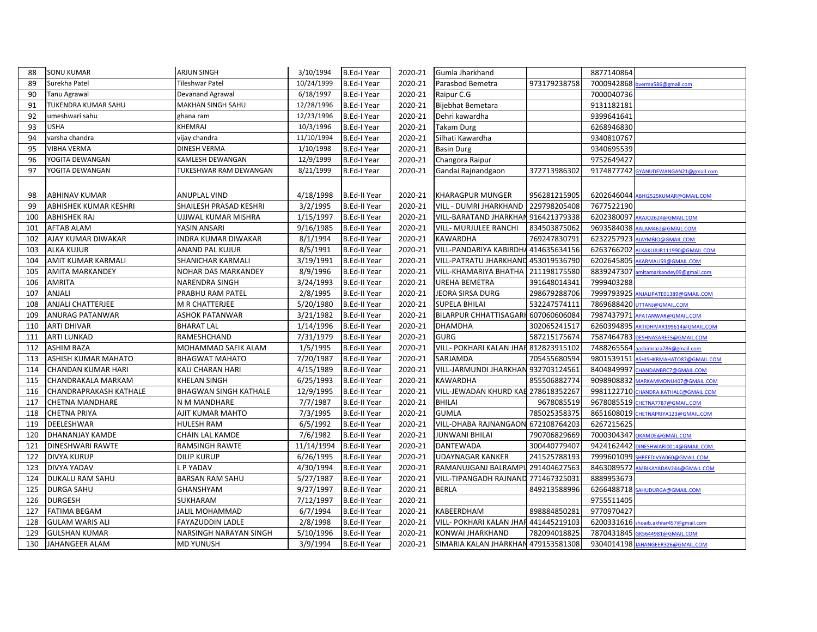| 88  | <b>SONU KUMAR</b>       | <b>ARJUN SINGH</b>           | 3/10/1994  | <b>B.Ed-I Year</b>  | 2020-21 | Gumla Jharkhand                       |              | 8877140864 |                                       |
|-----|-------------------------|------------------------------|------------|---------------------|---------|---------------------------------------|--------------|------------|---------------------------------------|
| 89  | Surekha Patel           | <b>Tileshwar Patel</b>       | 10/24/1999 | <b>B.Ed-I Year</b>  | 2020-21 | Parasbod Bemetra                      | 973179238758 | 7000942868 | verma586@gmail.com                    |
| 90  | Tanu Agrawal            | Devanand Agrawal             | 6/18/1997  | B.Ed-I Year         | 2020-21 | Raipur C.G                            |              | 7000040736 |                                       |
| 91  | TUKENDRA KUMAR SAHU     | MAKHAN SINGH SAHU            | 12/28/1996 | <b>B.Ed-I Year</b>  | 2020-21 | Bijebhat Bemetara                     |              | 9131182181 |                                       |
| 92  | umeshwari sahu          | ghana ram                    | 12/23/1996 | <b>B.Ed-I Year</b>  | 2020-21 | Dehri kawardha                        |              | 9399641641 |                                       |
| 93  | <b>USHA</b>             | KHEMRAJ                      | 10/3/1996  | B.Ed-I Year         | 2020-21 | <b>Takam Durg</b>                     |              | 6268946830 |                                       |
| 94  | varsha chandra          | vijay chandra                | 11/10/1994 | <b>B.Ed-I Year</b>  | 2020-21 | Silhati Kawardha                      |              | 9340810767 |                                       |
| 95  | VIBHA VERMA             | DINESH VERMA                 | 1/10/1998  | <b>B.Ed-I Year</b>  | 2020-21 | <b>Basin Durg</b>                     |              | 9340695539 |                                       |
| 96  | YOGITA DEWANGAN         | KAMLESH DEWANGAN             | 12/9/1999  | <b>B.Ed-I Year</b>  | 2020-21 | Changora Raipur                       |              | 9752649427 |                                       |
| 97  | YOGITA DEWANGAN         | TUKESHWAR RAM DEWANGAN       | 8/21/1999  | B.Ed-I Year         | 2020-21 | Gandai Rajnandgaon                    | 372713986302 |            | 9174877742 GYANUDEWANGAN21@gmail.com  |
|     |                         |                              |            |                     |         |                                       |              |            |                                       |
| 98  | ABHINAV KUMAR           | ANUPLAL VIND                 | 4/18/1998  | <b>B.Ed-II Year</b> | 2020-21 | KHARAGPUR MUNGER                      | 956281215905 |            | 6202646044 ABHI2525KUMAR@GMAIL.COM    |
| 99  | ABHISHEK KUMAR KESHRI   | SHAILESH PRASAD KESHRI       | 3/2/1995   | <b>B.Ed-II Year</b> | 2020-21 | VILL - DUMRI JHARKHAND                | 229798205408 | 7677522190 |                                       |
| 100 | <b>ABHISHEK RAJ</b>     | UJJWAL KUMAR MISHRA          | 1/15/1997  | <b>B.Ed-II Year</b> | 2020-21 | VILL-BARATAND JHARKHAN 916421379338   |              |            | 6202380097 ARAJ02624@GMAIL.COM        |
| 101 | <b>AFTAB ALAM</b>       | YASIN ANSARI                 | 9/16/1985  | <b>B.Ed-II Year</b> | 2020-21 | VILL- MURJULEE RANCHI                 | 834503875062 |            | 9693584038 AALAM462@GMAIL.COM         |
| 102 | AJAY KUMAR DIWAKAR      | <b>INDRA KUMAR DIWAKAR</b>   | 8/1/1994   | <b>B.Ed-II Year</b> | 2020-21 | <b>KAWARDHA</b>                       | 769247830791 |            | 6232257923 AJAYMBIO@GMAIL.COM         |
| 103 | <b>ALKA KUJUR</b>       | <b>ANAND PAL KUJUR</b>       | 8/5/1991   | <b>B.Ed-II Year</b> | 2020-21 | VILL-PANDARIYA KABIRDHA 414635634156  |              |            | 6263766202 ALKAKUJUR111990@GMAIL.COM  |
| 104 | AMIT KUMAR KARMALI      | SHANICHAR KARMALI            | 3/19/1991  | <b>B.Ed-II Year</b> | 2020-21 | VILL-PATRATU JHARKHAND 453019536790   |              |            | 6202645805 AKARMALI59@GMAIL.COM       |
| 105 | AMITA MARKANDEY         | NOHAR DAS MARKANDEY          | 8/9/1996   | <b>B.Ed-II Year</b> | 2020-21 | VILL-KHAMARIYA BHATHA                 | 211198175580 | 8839247307 | mitamarkandey09@gmail.com             |
| 106 | <b>AMRITA</b>           | NARENDRA SINGH               | 3/24/1993  | <b>B.Ed-II Year</b> | 2020-21 | UREHA BEMETRA                         | 391648014341 | 7999403288 |                                       |
| 107 | ANJALI                  | PRABHU RAM PATEL             | 2/8/1995   | <b>B.Ed-II Year</b> | 2020-21 | JEORA SIRSA DURG                      | 298679288706 |            | 7999793925 ANJALIPATE01389@GMAIL.COM  |
| 108 | ANJALI CHATTERJEE       | M R CHATTERJEE               | 5/20/1980  | <b>B.Ed-II Year</b> | 2020-21 | <b>SUPELA BHILAI</b>                  | 532247574111 |            | 7869688420 UTTANJ@GMAIL.COM           |
| 109 | ANURAG PATANWAR         | <b>ASHOK PATANWAR</b>        | 3/21/1982  | <b>B.Ed-II Year</b> | 2020-21 | BILARPUR CHHATTISAGARH 607060606084   |              |            | 7987437971 APATANWAR@GMAIL.COM        |
| 110 | <b>ARTI DHIVAR</b>      | <b>BHARAT LAL</b>            | 1/14/1996  | <b>B.Ed-II Year</b> | 2020-21 | <b>DHAMDHA</b>                        | 302065241517 |            | 6260394895 ARTIDHIVAR199614@GMAIL.COM |
| 111 | ARTI LUNKAD             | RAMESHCHAND                  | 7/31/1979  | <b>B.Ed-II Year</b> | 2020-21 | <b>GURG</b>                           | 587215175674 |            | 7587464783 DESHNASAREES@GMAIL.COM     |
| 112 | <b>ASHIM RAZA</b>       | MOHAMMAD SAFIK ALAM          | 1/5/1995   | <b>B.Ed-II Year</b> | 2020-21 | VILL- POKHARI KALAN JHAR 812823915102 |              |            | 7488265564 aashimraza786@gmail.com    |
| 113 | ASHISH KUMAR MAHATO     | <b>BHAGWAT MAHATO</b>        | 7/20/1987  | <b>B.Ed-II Year</b> | 2020-21 | SARJAMDA                              | 705455680594 | 9801539151 | ASHISHKRMAHATO87@GMAIL.COM            |
| 114 | CHANDAN KUMAR HARI      | KALI CHARAN HARI             | 4/15/1989  | <b>B.Ed-II Year</b> | 2020-21 | VILL-JARMUNDI JHARKHAN 932703124561   |              | 8404849997 | CHANDANBRC7@GMAIL.COM                 |
| 115 | CHANDRAKALA MARKAM      | <b>KHELAN SINGH</b>          | 6/25/1993  | <b>B.Ed-II Year</b> | 2020-21 | <b>KAWARDHA</b>                       | 855506882774 |            | 9098908832 MARKAMMONU407@GMAIL.COM    |
| 116 | CHANDRAPRAKASH KATHALE  | <b>BHAGWAN SINGH KATHALE</b> | 12/9/1995  | <b>B.Ed-II Year</b> | 2020-21 | VILL-JEWADAN KHURD KAB 278618352267   |              |            | 9981122710 CHANDRA.KATHALE@GMAIL.COM  |
| 117 | <b>CHETNA MANDHARE</b>  | N M MANDHARE                 | 7/7/1987   | <b>B.Ed-II Year</b> | 2020-21 | <b>BHILAI</b>                         | 9678085519   |            | 9678085519 CHETNA7787@GMAIL.COM       |
| 118 | <b>CHETNA PRIYA</b>     | AJIT KUMAR MAHTO             | 7/3/1995   | <b>B.Ed-II Year</b> | 2020-21 | <b>GUMLA</b>                          | 785025358375 |            | 8651608019 CHETNAPRIYA123@GMAIL.COM   |
| 119 | DEELESHWAR              | <b>HULESH RAM</b>            | 6/5/1992   | <b>B.Ed-II Year</b> | 2020-21 | VILL-DHABA RAJNANGAON 672108764203    |              | 6267215625 |                                       |
| 120 | DHANANJAY KAMDE         | CHAIN LAL KAMDE              | 7/6/1982   | <b>B.Ed-II Year</b> | 2020-21 | JUNWANI BHILAI                        | 790706829669 |            | 7000304347 OKAMDE@GMAIL.COM           |
| 121 | <b>DINESHWARI RAWTE</b> | <b>RAMSINGH RAWTE</b>        | 11/14/1994 | <b>B.Ed-II Year</b> | 2020-21 | <b>DANTEWADA</b>                      | 300440779407 |            | 9424162442 DINESHWARI0014@GMAIL.COM   |
| 122 | <b>DIVYA KURUP</b>      | <b>DILIP KURUP</b>           | 6/26/1995  | <b>B.Ed-II Year</b> | 2020-21 | <b>UDAYNAGAR KANKER</b>               | 241525788193 |            | 7999601099 SHREEDIVYA060@GMAIL.COM    |
| 123 | DIVYA YADAV             | . P YADAV                    | 4/30/1994  | <b>B.Ed-II Year</b> | 2020-21 | RAMANUJGANJ BALRAMPU 291404627563     |              |            | 8463089572 AMBIKAYADAV244@GMAIL.COM   |
| 124 | <b>DUKALU RAM SAHU</b>  | <b>BARSAN RAM SAHU</b>       | 5/27/1987  | <b>B.Ed-II Year</b> | 2020-21 | VILL-TIPANGADH RAJNAND 771467325031   |              | 8889953673 |                                       |
| 125 | <b>DURGA SAHU</b>       | GHANSHYAM                    | 9/27/1997  | <b>B.Ed-II Year</b> | 2020-21 | <b>BERLA</b>                          | 849213588996 |            | 6266488718 SAHUDURGA@GMAIL.COM        |
| 126 | <b>DURGESH</b>          | SUKHARAM                     | 7/12/1997  | <b>B.Ed-II Year</b> | 2020-21 |                                       |              | 9755511405 |                                       |
| 127 | <b>FATIMA BEGAM</b>     | <b>JALIL MOHAMMAD</b>        | 6/7/1994   | <b>B.Ed-II Year</b> | 2020-21 | KABEERDHAM                            | 898884850281 | 9770970427 |                                       |
| 128 | <b>GULAM WARIS ALI</b>  | FAYAZUDDIN LADLE             | 2/8/1998   | <b>B.Ed-II Year</b> | 2020-21 | VILL- POKHARI KALAN JHAR 441445219103 |              |            | 6200331616 shoaib.akhrar457@gmail.com |
| 129 | <b>GULSHAN KUMAR</b>    | NARSINGH NARAYAN SINGH       | 5/10/1996  | <b>B.Ed-II Year</b> | 2020-21 | KONWAI JHARKHAND                      | 782094018825 |            | 7870431845 GK5644981@GMAIL.COM        |
| 130 | JAHANGEER ALAM          | <b>MD YUNUSH</b>             | 3/9/1994   | <b>B.Ed-II Year</b> | 2020-21 | SIMARIA KALAN JHARKHAN 479153581308   |              |            | 9304014198 JAHANGEER326@GMAIL.COM     |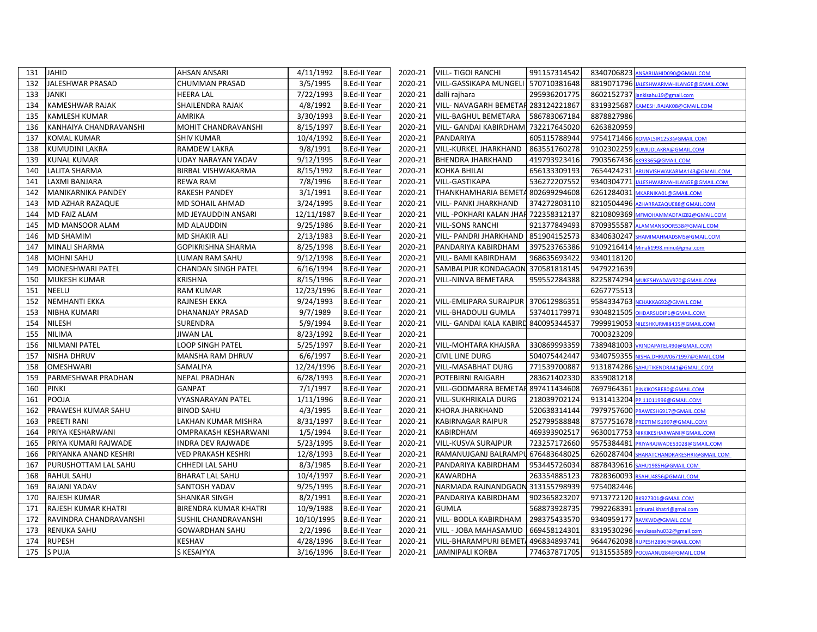| 131 | <b>JAHID</b>           | <b>AHSAN ANSARI</b>          | 4/11/1992  | <b>B.Ed-II Year</b> | 2020-21 | <b>VILL-TIGOI RANCHI</b><br>991157314542 |            | 8340706823 ANSARIJAHID090@GMAIL.COM     |
|-----|------------------------|------------------------------|------------|---------------------|---------|------------------------------------------|------------|-----------------------------------------|
| 132 | JALESHWAR PRASAD       | CHUMMAN PRASAD               | 3/5/1995   | <b>B.Ed-II Year</b> | 2020-21 | VILL-GASSIKAPA MUNGELI<br>570710381648   |            | 8819071796 JALESHWARMAHILANGE@GMAIL.COM |
| 133 | <b>JANKI</b>           | <b>HEERA LAL</b>             | 7/22/1993  | <b>B.Ed-II Year</b> | 2020-21 | 295936201775<br>dalli rajhara            | 8602152737 | jankisahu19@gmail.com                   |
| 134 | KAMESHWAR RAJAK        | SHAILENDRA RAJAK             | 4/8/1992   | <b>B.Ed-II Year</b> | 2020-21 | VILL- NAVAGARH BEMETAF 283124221867      | 8319325687 | KAMESH.RAJAK08@GMAIL.COM                |
| 135 | KAMLESH KUMAR          | <b>AMRIKA</b>                | 3/30/1993  | <b>B.Ed-II Year</b> | 2020-21 | VILL-BAGHUL BEMETARA<br>586783067184     | 8878827986 |                                         |
| 136 | KANHAIYA CHANDRAVANSHI | MOHIT CHANDRAVANSHI          | 8/15/1997  | <b>B.Ed-II Year</b> | 2020-21 | 732217645020<br>VILL- GANDAI KABIRDHAM   | 6263820959 |                                         |
| 137 | KOMAL KUMAR            | SHIV KUMAR                   | 10/4/1992  | <b>B.Ed-II Year</b> | 2020-21 | PANDARIYA<br>605115788944                |            | 9754171466 KOMALSIR1253@GMAIL.COM       |
| 138 | <b>KUMUDINI LAKRA</b>  | <b>RAMDEW LAKRA</b>          | 9/8/1991   | <b>B.Ed-II Year</b> | 2020-21 | VILL-KURKEL JHARKHAND<br>863551760278    |            | 9102302259 KUMUDLAKRA@GMAIL.COM         |
| 139 | <b>KUNAL KUMAR</b>     | UDAY NARAYAN YADAV           | 9/12/1995  | <b>B.Ed-II Year</b> | 2020-21 | 419793923416<br>BHENDRA JHARKHAND        |            | 7903567436 KK93365@GMAIL.COM            |
| 140 | LALITA SHARMA          | BIRBAL VISHWAKARMA           | 8/15/1992  | <b>B.Ed-II Year</b> | 2020-21 | 656133309193<br>KOHKA BHILAI             |            | 7654424231 ARUNVISHWAKARMA143@GMAIL.COM |
| 141 | LAXMI BANJARA          | <b>REWA RAM</b>              | 7/8/1996   | <b>B.Ed-II Year</b> | 2020-21 | 536272207552<br>VILL-GASTIKAPA           |            | 9340304771 JALESHWARMAHILANGE@GMAIL.COM |
| 142 | MANIKARNIKA PANDEY     | <b>RAKESH PANDEY</b>         | 3/1/1991   | <b>B.Ed-II Year</b> | 2020-21 | THANKHAMHARIA BEMETA 802699294608        | 6261284031 | MKARNIKA01@GMAIL.COM                    |
| 143 | MD AZHAR RAZAQUE       | MD SOHAIL AHMAD              | 3/24/1995  | <b>B.Ed-II Year</b> | 2020-21 | 374272803110<br>VILL- PANKI JHARKHAND    |            | 8210504496 AZHARRAZAQUE88@GMAIL.COM     |
| 144 | <b>MD FAIZ ALAM</b>    | MD JEYAUDDIN ANSARI          | 12/11/1987 | B.Ed-II Year        | 2020-21 | VILL - POKHARI KALAN JHAR 722358312137   |            | 8210809369 MEMOHAMMADFAIZ82@GMAIL.COM   |
| 145 | MD MANSOOR ALAM        | MD ALAUDDIN                  | 9/25/1986  | <b>B.Ed-II Year</b> | 2020-21 | VILL-SONS RANCHI<br>921377849493         | 8709355587 | ALAMMANSOOR538@GMAIL.COM                |
| 146 | MD SHAMIM              | MD SHAKIR ALI                | 2/13/1983  | <b>B.Ed-II Year</b> | 2020-21 | VILL- PANDRI JHARKHAND<br>851904152573   | 8340630247 | HAMIMAHMADSMS@GMAIL.COM                 |
| 147 | MINALI SHARMA          | GOPIKRISHNA SHARMA           | 8/25/1998  | <b>B.Ed-II Year</b> | 2020-21 | PANDARIYA KABIRDHAM<br>397523765386      |            | 9109216414 Minali1998.minu@gmai.com     |
| 148 | <b>MOHNI SAHU</b>      | LUMAN RAM SAHU               | 9/12/1998  | <b>B.Ed-II Year</b> | 2020-21 | VILL- BAMI KABIRDHAM<br>968635693422     | 9340118120 |                                         |
| 149 | MONESHWARI PATEL       | CHANDAN SINGH PATEL          | 6/16/1994  | <b>B.Ed-II Year</b> | 2020-21 | SAMBALPUR KONDAGAON 370581818145         | 9479221639 |                                         |
| 150 | MUKESH KUMAR           | <b>KRISHNA</b>               | 8/15/1996  | <b>B.Ed-II Year</b> | 2020-21 | 959552284388<br>VILL-NINVA BEMETARA      |            | 8225874294 MUKESHYADAV970@GMAIL.COM     |
| 151 | <b>NEELU</b>           | <b>RAM KUMAR</b>             | 12/23/1996 | <b>B.Ed-II Year</b> | 2020-21 |                                          | 6267775513 |                                         |
| 152 | <b>NEMHANTI EKKA</b>   | RAJNESH EKKA                 | 9/24/1993  | <b>B.Ed-II Year</b> | 2020-21 | VILL-EMLIPARA SURAJPUR<br>370612986351   |            | 9584334763 NEHAKKA692@GMAIL.COM         |
| 153 | NIBHA KUMARI           | DHANANJAY PRASAD             | 9/7/1989   | <b>B.Ed-II Year</b> | 2020-21 | 537401179971<br>VILL-BHADOULI GUMLA      |            | 9304821505 OHDARSUDIP1@GMAIL.COM        |
| 154 | NILESH                 | SURENDRA                     | 5/9/1994   | <b>B.Ed-II Year</b> | 2020-21 | VILL- GANDAI KALA KABIRD 840095344537    | 7999919053 | NILESHKURMI8435@GMAIL.COM               |
| 155 | <b>NILIMA</b>          | JIWAN LAL                    | 8/23/1992  | B.Ed-II Year        | 2020-21 |                                          | 7000323209 |                                         |
| 156 | <b>NILMANI PATEL</b>   | LOOP SINGH PATEL             | 5/25/1997  | <b>B.Ed-II Year</b> | 2020-21 | 330869993359<br>VILL-MOHTARA KHAJSRA     |            | 7389481003 VRINDAPATEL490@GMAIL.COM     |
| 157 | NISHA DHRUV            | MANSHA RAM DHRUV             | 6/6/1997   | B.Ed-II Year        | 2020-21 | CIVIL LINE DURG<br>504075442447          | 9340759355 | NISHA.DHRUV0671997@GMAIL.COM            |
| 158 | OMESHWARI              | SAMALIYA                     | 12/24/1996 | B.Ed-II Year        | 2020-21 | VILL-MASABHAT DURG<br>771539700887       |            | 9131874286 SAHUTIKENDRA41@GMAIL.COM     |
| 159 | PARMESHWAR PRADHAN     | NEPAL PRADHAN                | 6/28/1993  | <b>B.Ed-II Year</b> | 2020-21 | 283621402330<br>POTEBIRNI RAIGARH        | 8359081218 |                                         |
| 160 | <b>PINKI</b>           | <b>GANPAT</b>                | 7/1/1997   | <b>B.Ed-II Year</b> | 2020-21 | VILL-GODMARRA BEMETAF 897411434608       | 7697964361 | PINKIKOSRE80@GMAIL.COM                  |
| 161 | <b>POOJA</b>           | VYASNARAYAN PATEL            | 1/11/1996  | <b>B.Ed-II Year</b> | 2020-21 | VILL-SUKHRIKALA DURG<br>218039702124     |            | 9131413204 PP.11011996@GMAIL.COM        |
| 162 | PRAWESH KUMAR SAHU     | <b>BINOD SAHU</b>            | 4/3/1995   | <b>B.Ed-II Year</b> | 2020-21 | 520638314144<br>KHORA JHARKHAND          |            | 7979757600 PRAWESH6917@GMAIL.COM        |
| 163 | PREETI RANI            | LAKHAN KUMAR MISHRA          | 8/31/1997  | <b>B.Ed-II Year</b> | 2020-21 | 252799588848<br>KABIRNAGAR RAIPUR        |            | 8757751678 PREETIMIS1997@GMAIL.COM      |
| 164 | PRIYA KESHARWANI       | OMPRAKASH KESHARWANI         | 1/5/1994   | B.Ed-II Year        | 2020-21 | KABIRDHAM<br>469393902517                |            | 9630017753 NIKKIKESHARWANI@GMAIL.COM    |
| 165 | PRIYA KUMARI RAJWADE   | INDRA DEV RAJWADE            | 5/23/1995  | <b>B.Ed-II Year</b> | 2020-21 | VILL-KUSVA SURAJPUR<br>723257172660      | 9575384481 | PRIYARAJWADE53028@GMAIL.COM             |
| 166 | PRIYANKA ANAND KESHRI  | <b>VED PRAKASH KESHRI</b>    | 12/8/1993  | <b>B.Ed-II Year</b> | 2020-21 | RAMANUJGANJ BALRAMPU 676483648025        | 6260287404 | SHARATCHANDRAKESHRI@GMAIL.COM           |
| 167 | PURUSHOTTAM LAL SAHU   | CHHEDI LAL SAHU              | 8/3/1985   | B.Ed-II Year        | 2020-21 | 953445726034<br>PANDARIYA KABIRDHAM      |            | 8878439616 SAHU1985H@GMAIL.COM          |
| 168 | <b>RAHUL SAHU</b>      | <b>BHARAT LAL SAHU</b>       | 10/4/1997  | <b>B.Ed-II Year</b> | 2020-21 | KAWARDHA<br>263354885123                 |            | 7828360093 RSAHU4856@GMAIL.COM          |
| 169 | RAJANI YADAV           | SANTOSH YADAV                | 9/25/1995  | <b>B.Ed-II Year</b> | 2020-21 | NARMADA RAJNANDGAON 313155798939         | 9754082446 |                                         |
| 170 | <b>RAJESH KUMAR</b>    | <b>SHANKAR SINGH</b>         | 8/2/1991   | <b>B.Ed-II Year</b> | 2020-21 | PANDARIYA KABIRDHAM<br>902365823207      |            | 9713772120 RK927301@GMAIL.COM           |
| 171 | RAJESH KUMAR KHATRI    | <b>BIRENDRA KUMAR KHATRI</b> | 10/9/1988  | <b>B.Ed-II Year</b> | 2020-21 | 568873928735<br><b>GUMLA</b>             | 7992268391 | prinurai.khatri@gmai.com                |
| 172 | RAVINDRA CHANDRAVANSHI | SUSHIL CHANDRAVANSHI         | 10/10/1995 | B.Ed-II Year        | 2020-21 | VILL- BODLA KABIRDHAM<br>298375433570    |            | 9340959177 RAVKWD@GMAIL.COM             |
| 173 | RENUKA SAHU            | <b>GOWARDHAN SAHU</b>        | 2/2/1996   | <b>B.Ed-II Year</b> | 2020-21 | VILL - JOBA MAHASAMUD<br>669458124301    | 8319530296 | renukasahu032@gmail.com                 |
| 174 | <b>RUPESH</b>          | KESHAV                       | 4/28/1996  | <b>B.Ed-II Year</b> | 2020-21 | 496834893741<br>VILL-BHARAMPURI BEMET/   |            | 9644762098 RUPESH2896@GMAIL.COM         |
| 175 | S PUJA                 | S KESAIYYA                   | 3/16/1996  | <b>B.Ed-II Year</b> | 2020-21 | <b>JAMNIPALI KORBA</b><br>774637871705   |            | 9131553589 POOJAANU284@GMAIL.COM        |